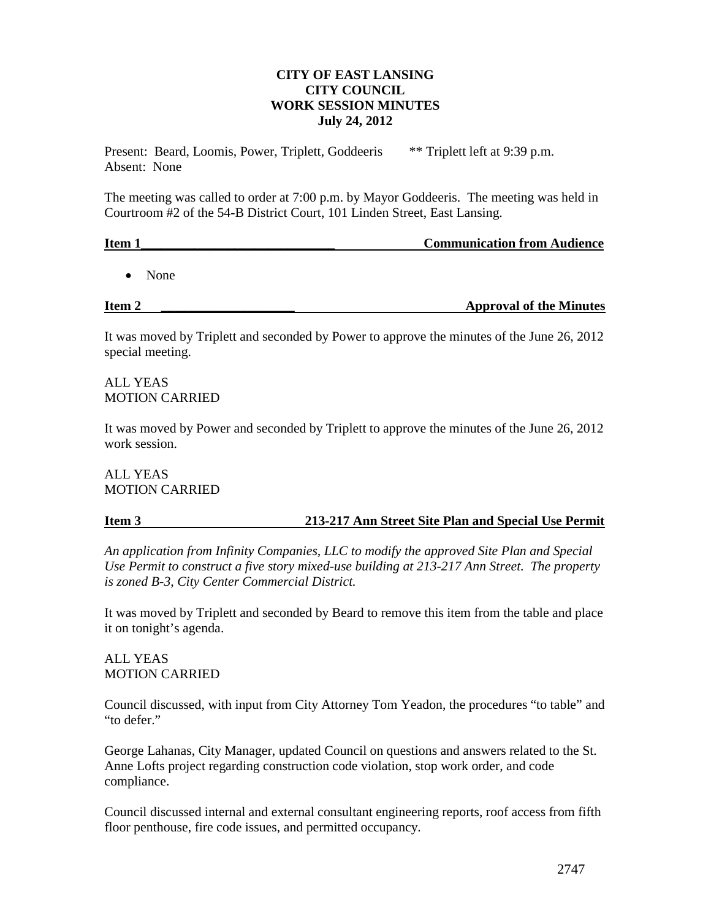# **CITY OF EAST LANSING CITY COUNCIL WORK SESSION MINUTES July 24, 2012**

Present: Beard, Loomis, Power, Triplett, Goddeeris \*\* Triplett left at 9:39 p.m. Absent: None

The meeting was called to order at 7:00 p.m. by Mayor Goddeeris. The meeting was held in Courtroom #2 of the 54-B District Court, 101 Linden Street, East Lansing.

| Item 1 | <b>Communication from Audience</b> |
|--------|------------------------------------|
|        |                                    |

• None

**Item 2 \_\_\_\_\_\_\_\_\_\_\_\_\_** Approval of the Minutes

It was moved by Triplett and seconded by Power to approve the minutes of the June 26, 2012 special meeting.

ALL YEAS MOTION CARRIED

It was moved by Power and seconded by Triplett to approve the minutes of the June 26, 2012 work session.

# ALL YEAS MOTION CARRIED

# **Item 3 213-217 Ann Street Site Plan and Special Use Permit**

*An application from Infinity Companies, LLC to modify the approved Site Plan and Special Use Permit to construct a five story mixed-use building at 213-217 Ann Street. The property is zoned B-3, City Center Commercial District.*

It was moved by Triplett and seconded by Beard to remove this item from the table and place it on tonight's agenda.

ALL YEAS MOTION CARRIED

Council discussed, with input from City Attorney Tom Yeadon, the procedures "to table" and "to defer."

George Lahanas, City Manager, updated Council on questions and answers related to the St. Anne Lofts project regarding construction code violation, stop work order, and code compliance.

Council discussed internal and external consultant engineering reports, roof access from fifth floor penthouse, fire code issues, and permitted occupancy.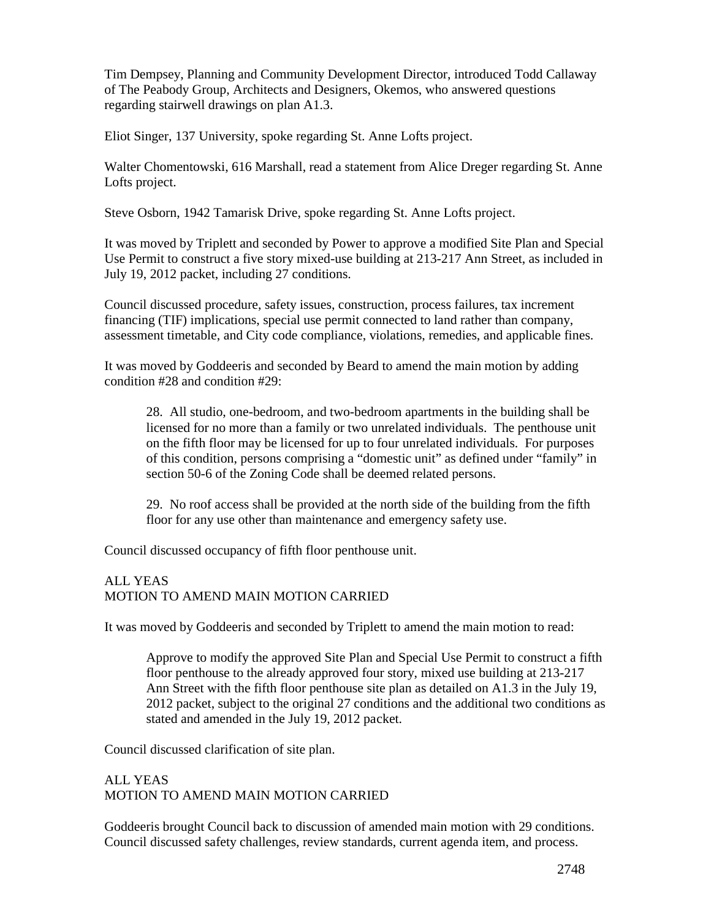Tim Dempsey, Planning and Community Development Director, introduced Todd Callaway of The Peabody Group, Architects and Designers, Okemos, who answered questions regarding stairwell drawings on plan A1.3.

Eliot Singer, 137 University, spoke regarding St. Anne Lofts project.

Walter Chomentowski, 616 Marshall, read a statement from Alice Dreger regarding St. Anne Lofts project.

Steve Osborn, 1942 Tamarisk Drive, spoke regarding St. Anne Lofts project.

It was moved by Triplett and seconded by Power to approve a modified Site Plan and Special Use Permit to construct a five story mixed-use building at 213-217 Ann Street, as included in July 19, 2012 packet, including 27 conditions.

Council discussed procedure, safety issues, construction, process failures, tax increment financing (TIF) implications, special use permit connected to land rather than company, assessment timetable, and City code compliance, violations, remedies, and applicable fines.

It was moved by Goddeeris and seconded by Beard to amend the main motion by adding condition #28 and condition #29:

28. All studio, one-bedroom, and two-bedroom apartments in the building shall be licensed for no more than a family or two unrelated individuals. The penthouse unit on the fifth floor may be licensed for up to four unrelated individuals. For purposes of this condition, persons comprising a "domestic unit" as defined under "family" in section 50-6 of the Zoning Code shall be deemed related persons.

29. No roof access shall be provided at the north side of the building from the fifth floor for any use other than maintenance and emergency safety use.

Council discussed occupancy of fifth floor penthouse unit.

# ALL YEAS MOTION TO AMEND MAIN MOTION CARRIED

It was moved by Goddeeris and seconded by Triplett to amend the main motion to read:

Approve to modify the approved Site Plan and Special Use Permit to construct a fifth floor penthouse to the already approved four story, mixed use building at 213-217 Ann Street with the fifth floor penthouse site plan as detailed on A1.3 in the July 19, 2012 packet, subject to the original 27 conditions and the additional two conditions as stated and amended in the July 19, 2012 packet.

Council discussed clarification of site plan.

# ALL YEAS MOTION TO AMEND MAIN MOTION CARRIED

Goddeeris brought Council back to discussion of amended main motion with 29 conditions. Council discussed safety challenges, review standards, current agenda item, and process.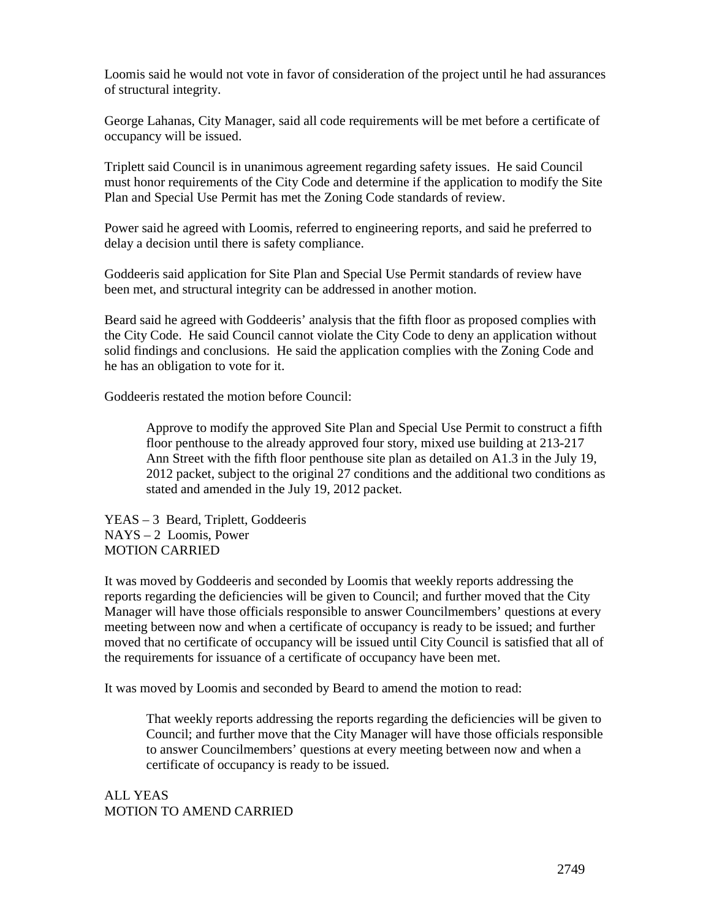Loomis said he would not vote in favor of consideration of the project until he had assurances of structural integrity.

George Lahanas, City Manager, said all code requirements will be met before a certificate of occupancy will be issued.

Triplett said Council is in unanimous agreement regarding safety issues. He said Council must honor requirements of the City Code and determine if the application to modify the Site Plan and Special Use Permit has met the Zoning Code standards of review.

Power said he agreed with Loomis, referred to engineering reports, and said he preferred to delay a decision until there is safety compliance.

Goddeeris said application for Site Plan and Special Use Permit standards of review have been met, and structural integrity can be addressed in another motion.

Beard said he agreed with Goddeeris' analysis that the fifth floor as proposed complies with the City Code. He said Council cannot violate the City Code to deny an application without solid findings and conclusions. He said the application complies with the Zoning Code and he has an obligation to vote for it.

Goddeeris restated the motion before Council:

Approve to modify the approved Site Plan and Special Use Permit to construct a fifth floor penthouse to the already approved four story, mixed use building at 213-217 Ann Street with the fifth floor penthouse site plan as detailed on A1.3 in the July 19, 2012 packet, subject to the original 27 conditions and the additional two conditions as stated and amended in the July 19, 2012 packet.

YEAS – 3 Beard, Triplett, Goddeeris NAYS – 2 Loomis, Power MOTION CARRIED

It was moved by Goddeeris and seconded by Loomis that weekly reports addressing the reports regarding the deficiencies will be given to Council; and further moved that the City Manager will have those officials responsible to answer Councilmembers' questions at every meeting between now and when a certificate of occupancy is ready to be issued; and further moved that no certificate of occupancy will be issued until City Council is satisfied that all of the requirements for issuance of a certificate of occupancy have been met.

It was moved by Loomis and seconded by Beard to amend the motion to read:

That weekly reports addressing the reports regarding the deficiencies will be given to Council; and further move that the City Manager will have those officials responsible to answer Councilmembers' questions at every meeting between now and when a certificate of occupancy is ready to be issued.

ALL YEAS MOTION TO AMEND CARRIED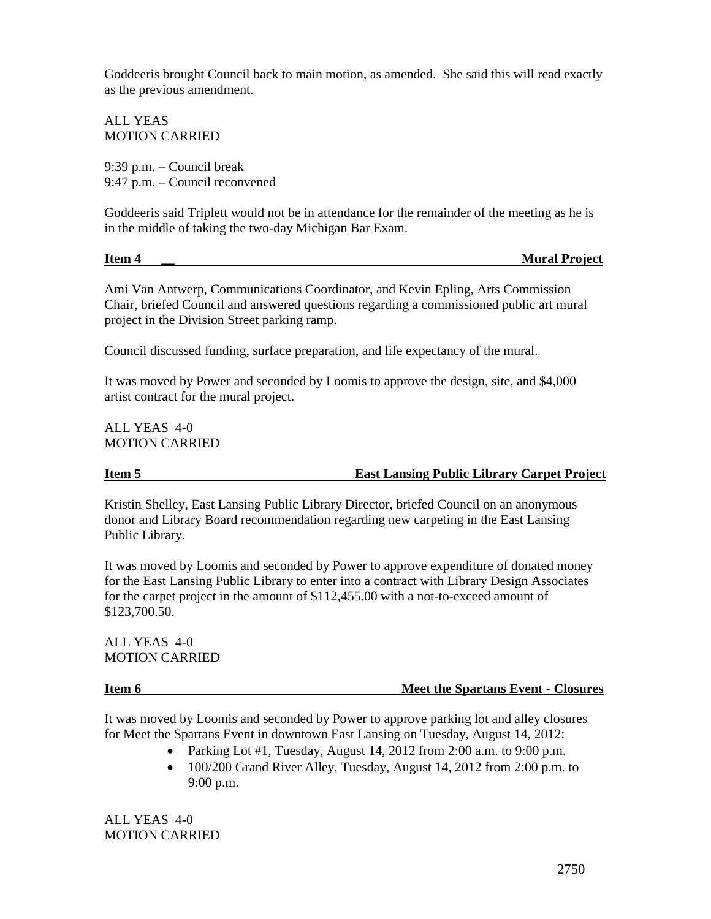Goddeeris brought Council back to main motion, as amended. She said this will read exactly as the previous amendment.

ALL YEAS MOTION CARRIED

9:39 p.m. – Council break 9:47 p.m. – Council reconvened

Goddeeris said Triplett would not be in attendance for the remainder of the meeting as he is in the middle of taking the two-day Michigan Bar Exam.

**Item 4 \_\_ Mural Project** 

Ami Van Antwerp, Communications Coordinator, and Kevin Epling, Arts Commission Chair, briefed Council and answered questions regarding a commissioned public art mural project in the Division Street parking ramp.

Council discussed funding, surface preparation, and life expectancy of the mural.

It was moved by Power and seconded by Loomis to approve the design, site, and \$4,000 artist contract for the mural project.

ALL YEAS 4-0 MOTION CARRIED

# **Item 5 East Lansing Public Library Carpet Project**

Kristin Shelley, East Lansing Public Library Director, briefed Council on an anonymous donor and Library Board recommendation regarding new carpeting in the East Lansing Public Library.

It was moved by Loomis and seconded by Power to approve expenditure of donated money for the East Lansing Public Library to enter into a contract with Library Design Associates for the carpet project in the amount of \$112,455.00 with a not-to-exceed amount of \$123,700.50.

ALL YEAS 4-0 MOTION CARRIED

# **Item 6** Meet the Spartans Event - Closures

It was moved by Loomis and seconded by Power to approve parking lot and alley closures for Meet the Spartans Event in downtown East Lansing on Tuesday, August 14, 2012:

- Parking Lot #1, Tuesday, August 14, 2012 from 2:00 a.m. to 9:00 p.m.
- 100/200 Grand River Alley, Tuesday, August 14, 2012 from 2:00 p.m. to 9:00 p.m.

ALL YEAS 4-0 MOTION CARRIED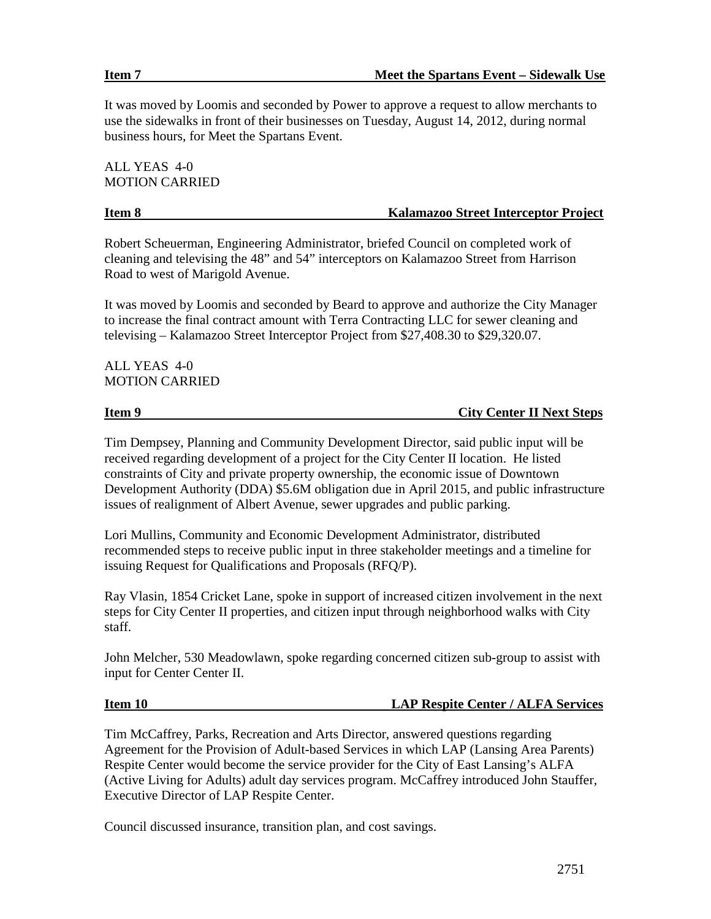It was moved by Loomis and seconded by Power to approve a request to allow merchants to use the sidewalks in front of their businesses on Tuesday, August 14, 2012, during normal business hours, for Meet the Spartans Event.

ALL YEAS 4-0 MOTION CARRIED

# **Kalamazoo Street Interceptor Project**

Robert Scheuerman, Engineering Administrator, briefed Council on completed work of cleaning and televising the 48" and 54" interceptors on Kalamazoo Street from Harrison Road to west of Marigold Avenue.

It was moved by Loomis and seconded by Beard to approve and authorize the City Manager to increase the final contract amount with Terra Contracting LLC for sewer cleaning and televising – Kalamazoo Street Interceptor Project from \$27,408.30 to \$29,320.07.

ALL YEAS 4-0 MOTION CARRIED

**Item 9** City Center II Next Steps

Tim Dempsey, Planning and Community Development Director, said public input will be received regarding development of a project for the City Center II location. He listed constraints of City and private property ownership, the economic issue of Downtown Development Authority (DDA) \$5.6M obligation due in April 2015, and public infrastructure issues of realignment of Albert Avenue, sewer upgrades and public parking.

Lori Mullins, Community and Economic Development Administrator, distributed recommended steps to receive public input in three stakeholder meetings and a timeline for issuing Request for Qualifications and Proposals (RFQ/P).

Ray Vlasin, 1854 Cricket Lane, spoke in support of increased citizen involvement in the next steps for City Center II properties, and citizen input through neighborhood walks with City staff.

John Melcher, 530 Meadowlawn, spoke regarding concerned citizen sub-group to assist with input for Center Center II.

**Item 10 LAP Respite Center / ALFA Services**

Tim McCaffrey, Parks, Recreation and Arts Director, answered questions regarding Agreement for the Provision of Adult-based Services in which LAP (Lansing Area Parents) Respite Center would become the service provider for the City of East Lansing's ALFA (Active Living for Adults) adult day services program. McCaffrey introduced John Stauffer, Executive Director of LAP Respite Center.

Council discussed insurance, transition plan, and cost savings.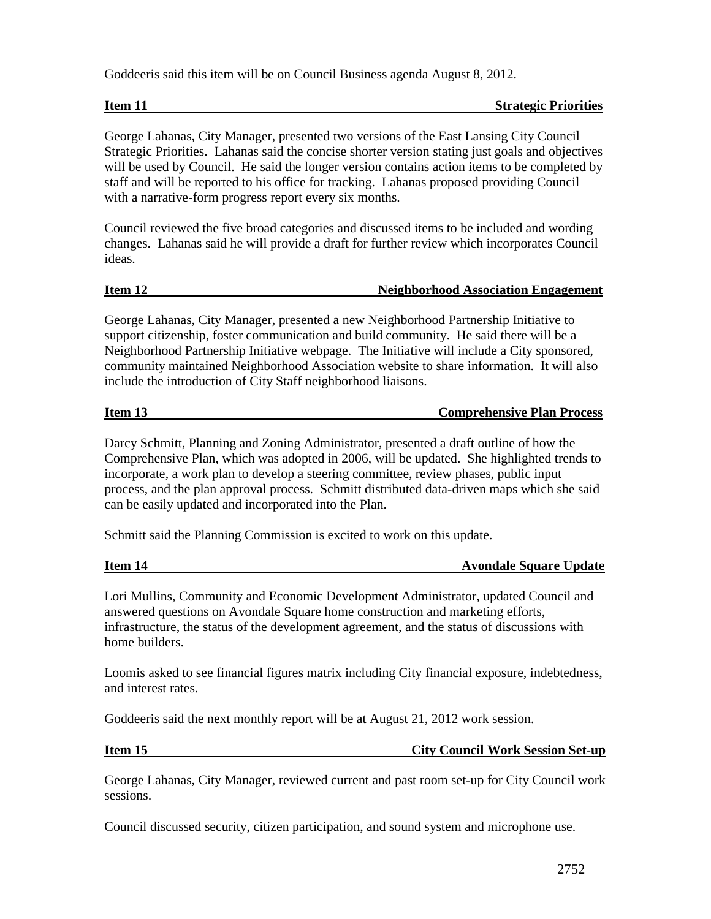Goddeeris said this item will be on Council Business agenda August 8, 2012.

**Item 11** Strategic Priorities

George Lahanas, City Manager, presented two versions of the East Lansing City Council Strategic Priorities. Lahanas said the concise shorter version stating just goals and objectives will be used by Council. He said the longer version contains action items to be completed by staff and will be reported to his office for tracking. Lahanas proposed providing Council with a narrative-form progress report every six months.

Council reviewed the five broad categories and discussed items to be included and wording changes. Lahanas said he will provide a draft for further review which incorporates Council ideas.

# **Item 12** Neighborhood Association Engagement

George Lahanas, City Manager, presented a new Neighborhood Partnership Initiative to support citizenship, foster communication and build community. He said there will be a Neighborhood Partnership Initiative webpage. The Initiative will include a City sponsored, community maintained Neighborhood Association website to share information. It will also include the introduction of City Staff neighborhood liaisons.

# **Item 13 Comprehensive Plan Process**

Darcy Schmitt, Planning and Zoning Administrator, presented a draft outline of how the Comprehensive Plan, which was adopted in 2006, will be updated. She highlighted trends to incorporate, a work plan to develop a steering committee, review phases, public input process, and the plan approval process. Schmitt distributed data-driven maps which she said can be easily updated and incorporated into the Plan.

Schmitt said the Planning Commission is excited to work on this update.

# **Item 14** Avondale Square Update

Lori Mullins, Community and Economic Development Administrator, updated Council and answered questions on Avondale Square home construction and marketing efforts, infrastructure, the status of the development agreement, and the status of discussions with home builders.

Loomis asked to see financial figures matrix including City financial exposure, indebtedness, and interest rates.

Goddeeris said the next monthly report will be at August 21, 2012 work session.

# **Item 15** City Council Work Session Set-up

George Lahanas, City Manager, reviewed current and past room set-up for City Council work sessions.

Council discussed security, citizen participation, and sound system and microphone use.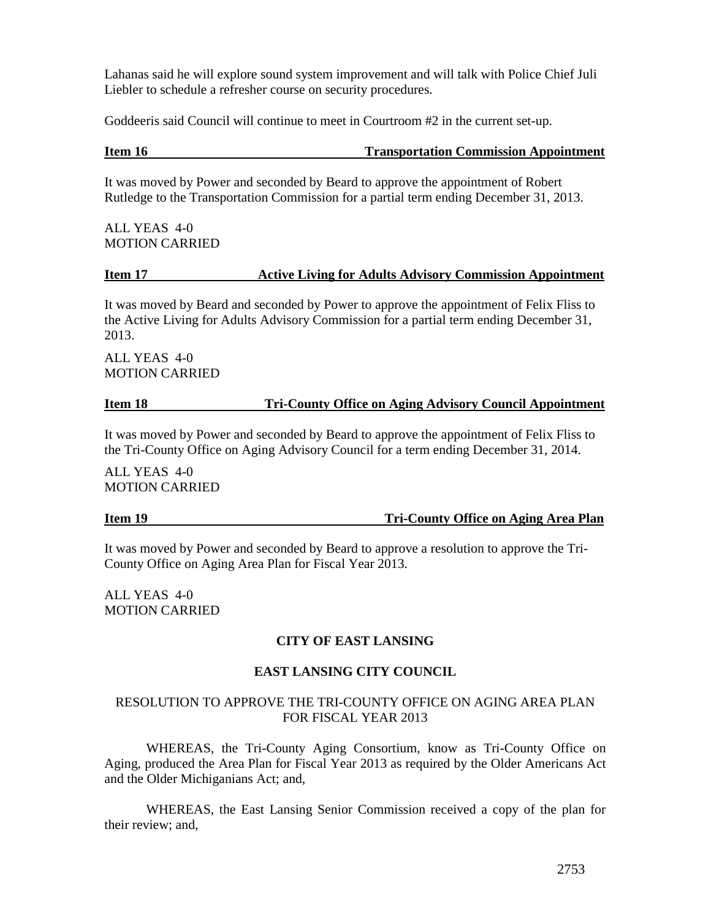Lahanas said he will explore sound system improvement and will talk with Police Chief Juli Liebler to schedule a refresher course on security procedures.

Goddeeris said Council will continue to meet in Courtroom #2 in the current set-up.

# **Item 16 Transportation Commission Appointment**

It was moved by Power and seconded by Beard to approve the appointment of Robert Rutledge to the Transportation Commission for a partial term ending December 31, 2013.

ALL YEAS 4-0 MOTION CARRIED

### **Item 17 Active Living for Adults Advisory Commission Appointment**

It was moved by Beard and seconded by Power to approve the appointment of Felix Fliss to the Active Living for Adults Advisory Commission for a partial term ending December 31, 2013.

ALL YEAS 4-0 MOTION CARRIED

### **Item 18 Tri-County Office on Aging Advisory Council Appointment**

It was moved by Power and seconded by Beard to approve the appointment of Felix Fliss to the Tri-County Office on Aging Advisory Council for a term ending December 31, 2014.

ALL YEAS 4-0 MOTION CARRIED

**Item 19 Tri-County Office on Aging Area Plan**

It was moved by Power and seconded by Beard to approve a resolution to approve the Tri-County Office on Aging Area Plan for Fiscal Year 2013.

ALL YEAS 4-0 MOTION CARRIED

# **CITY OF EAST LANSING**

# **EAST LANSING CITY COUNCIL**

### RESOLUTION TO APPROVE THE TRI-COUNTY OFFICE ON AGING AREA PLAN FOR FISCAL YEAR 2013

WHEREAS, the Tri-County Aging Consortium, know as Tri-County Office on Aging, produced the Area Plan for Fiscal Year 2013 as required by the Older Americans Act and the Older Michiganians Act; and,

WHEREAS, the East Lansing Senior Commission received a copy of the plan for their review; and,